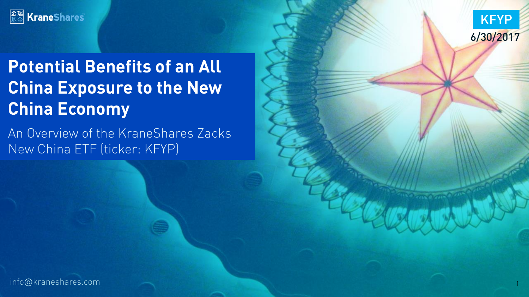



# **Potential Benefits of an All China Exposure to the New China Economy**

An Overview of the KraneShares Zacks New China ETF (ticker: KFYP) New China Ethnology (ticker: KFYP)

info@kraneshares.com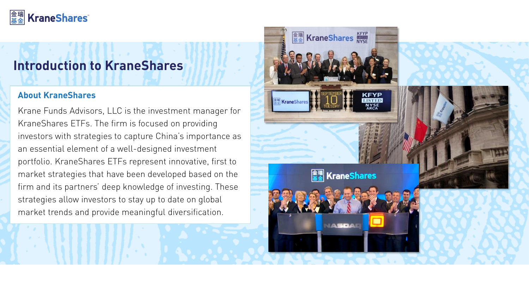#### |金瑞|<br>|基金| **KraneShares**

### **Introduction to KraneShares INTRODUCTION TO KEEP SHARES**

#### **About KraneShares**

Krane Funds Advisors, LLC is the investment manager for Krane Shares ETFs. The firm is focused on providing investors with strategies to capture China's importance as an essential element of a well-designed investment portfolio. KraneShares ETFs represent innovative, first to market strategies that have been developed based on the firm and its partners' deep knowledge of investing. These strategies allow investors to stay up to date on global strategies allow investors to stay up to date on global market trends and provide meaningful diversification.

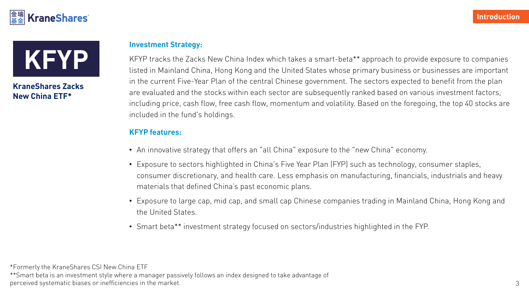



# **New China ETF\***

## **Investment Strategy:**

KFYP tracks the Zacks New China Index which takes a smart-beta\*\* approach to provide exposure to companies<br>Listed in Mainland China, Hong Kong and the United States whose primary business or businesses are important in the current Five-Year Plan of the central Chinese government. The sectors expected to benefit from the plan are evaluated and the stocks within each sector are subsequently ranked based on various investment factors, including price, cash flow, free cash flow, momentum and volatility. Based on the foregoing, the top 40 stocks are including price, cash flow, free cash flow, momentum and volatility. Based on the foregoing, the top 40 stocks are included in the fund's holdings.

#### **KFYP features:**

- An innovative strategy that offers an "all China" exposure to the "new China" economy.
- Exposure to sectors highlighted in China's Five Year Plan (FYP) such as technology, consumer staples, consumer discretionary, and health care . Less empire on manufacturing, financials and health care in manufacturing, financials and health care in manufacturing, financials and heavy industrials and heavy industrials and h materials that defined China's past economic plans.
- Exposure to large cap, mid cap, and small cap Chinese companies trading in Mainland China, Hong Kong and
- Smart beta\*\* investment strategy focused on sectors/industries highlighted in the FYP.

\*Formerly the KraneShares CSI New China ETF  $\frac{1}{2}$  is an investment style where  $\frac{1}{2}$  is an index designed to take a manager parager parager parager  $\frac{1}{2}$ perceived systematic biases or inefficiencies in the market.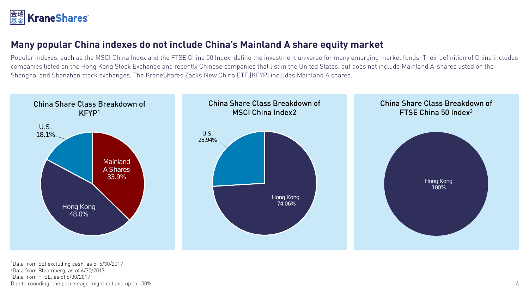

**Many popular China indexes do not include China's Mainland A share equity market**<br>Popular indexes, such as the MSCI China Index and the FTSE China 50 Index, define the investment universe for many emerging market funds. T companies listed on the Hong Kong Stock Exchange and recently Chinese companies that list in the United States, but does not include Mainland A-shares listed on the Shanghai and Shenzhen stock exchanges. The KraneShares Zacks New China ETF (KFYP) includes Mainland A shares. Shanghai and Shenzhen stock exchanges. The KraneShares Zacks New China ETF (KFYP) includes Mainland A shares.



<sup>1</sup>Data from SEI excluding cash, as of 6/30/2017<br><sup>2</sup>Data from Bloomberg, as of 6/30/2017  $3$ Data from FTSE, as of  $6/30/2017$ Due to rounding, the percentage might not add up to 100% Due to rounding, the percentage might not add up to 100% 4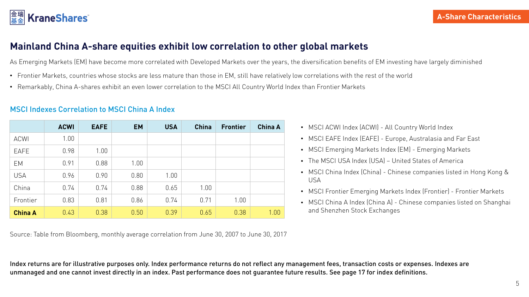# **Mainland China A-share equities exhibit low correlation to other global markets**

As Emerging Markets (EM) have become more correlated with Developed Markets over the years, the diversification benefits of EM investing have largely diminished

- Frontier Markets, countries whose stocks are less mature than those in EM, still have relatively low correlations with the rest of the world
- Remarkably, China A-shares exhibit an even lower correlation to the MSCI All Country World Index than Frontier Markets

|                | <b>ACWI</b> | <b>EAFE</b> | <b>EM</b> | <b>USA</b> | <b>China</b> | <b>Frontier</b> | <b>China A</b> |
|----------------|-------------|-------------|-----------|------------|--------------|-----------------|----------------|
| <b>ACWI</b>    | 1.00        |             |           |            |              |                 |                |
| <b>EAFE</b>    | 0.98        | 1.00        |           |            |              |                 |                |
| EM             | 0.91        | 0.88        | 1.00      |            |              |                 |                |
| <b>USA</b>     | 0.96        | 0.90        | 0.80      | 1.00       |              |                 |                |
| China          | 0.74        | 0.74        | 0.88      | 0.65       | 1.00         |                 |                |
| Frontier       | 0.83        | 0.81        | 0.86      | 0.74       | 0.71         | 1.00            |                |
| <b>China A</b> | 0.43        | 0.38        | 0.50      | 0.39       | 0.65         | 0.38            | 1.00           |

#### **MSCI Indexes Correlation to MSCI China A Index** MSCI Indexes Correlation to MSCI China A Index

Source: Table from Bloomberg, monthly average correlation from June 30, 2007 to June 30, 2017

- MSCI ACWI Index (ACWI) All Country World Index
- MSCI EAFE Index (EAFE) Europe, Australasia and Far East
- MSCI Emerging Markets Index (EM) Emerging Markets
- The MSCI USA Index (USA) United States of America
- MSCI China Index (China) Chinese companies listed in Hong Kong &
- USA • MSCI Frontier Emerging Markets Index (Frontier) - Frontier Markets
- MSCI China A Index (China A) Chinese companies listed on Shanghai and Shenzhen Stock Exchanges

Index returns are for illustrative purposes only. Index performance returns do not reflect any management fees, transaction costs or expenses. Indexes are unmanaged and one cannot invest directly in an index. Past performance does not guarantee future results. See page 17 for index definitions.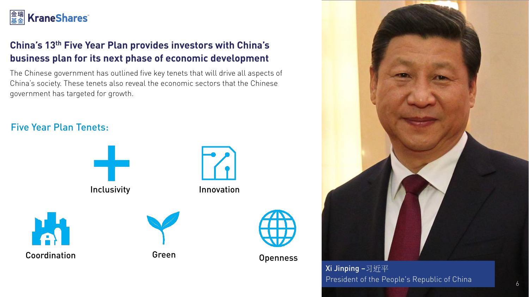# **金瑞 KraneShares**

# **China's 13th Five Year Plan provides investors with China's**

The Chinese government has outlined five key tenets that will drive all aspects of China's society. These tenets also reveal the economic sectors that the Chinese China's society. These teneted for arouth government has targeted for growth.

### **Five Year Plan Tenets:**





Xi Jinping –习近平 President of the People's Republic of China

 $\overline{6}$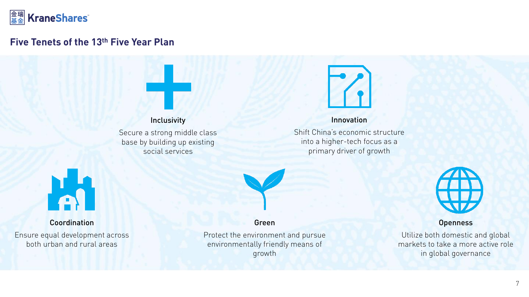

#### **Five Tenets of the 13th Five Year Plan**





#### Innovation

Shift China's economic structure into a higher-tech focus as a into a higher-tech focus as an primary driver of growth



Green

Protect the environment and pursue Protective environmentally friendly means of environmentally means of growth



**Openness**<br>Utilize both domestic and global markets to take a more active role markets to take a more active role in global governance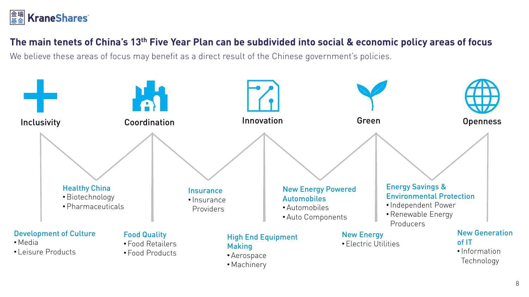

### **The main tenets of China's 13th Five Year Plan can be subdivided into social & economic policy areas of focus**

We believe these areas of focus may benefit as a direct result of the Chinese government's policies.

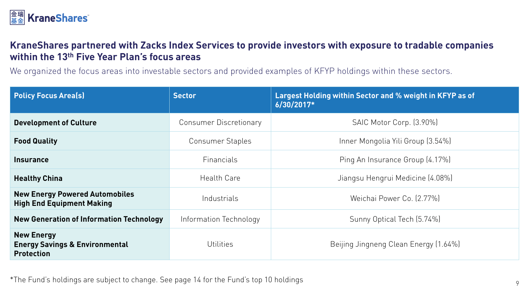

# **KraneShares partnered with Zacks Index Services to provide investors with exposure to tradable companies within the 13th Five Year Plan's focus areas**

We organized the focus areas into investable sectors and provided examples of KFYP holdings within these sectors.

| <b>Policy Focus Area(s)</b>                                                         | <b>Sector</b>                 | Largest Holding within Sector and % weight in KFYP as of<br>$6/30/2017*$ |  |  |
|-------------------------------------------------------------------------------------|-------------------------------|--------------------------------------------------------------------------|--|--|
| <b>Development of Culture</b>                                                       | <b>Consumer Discretionary</b> | SAIC Motor Corp. (3.90%)                                                 |  |  |
| <b>Food Quality</b>                                                                 | <b>Consumer Staples</b>       | Inner Mongolia Yili Group (3.54%)                                        |  |  |
| <b>Insurance</b>                                                                    | <b>Financials</b>             | Ping An Insurance Group (4.17%)                                          |  |  |
| <b>Healthy China</b>                                                                | Health Care                   | Jiangsu Hengrui Medicine (4.08%)                                         |  |  |
| <b>New Energy Powered Automobiles</b><br><b>High End Equipment Making</b>           | Industrials                   | Weichai Power Co. (2.77%)                                                |  |  |
| <b>New Generation of Information Technology</b>                                     | Information Technology        | Sunny Optical Tech (5.74%)                                               |  |  |
| <b>New Energy</b><br><b>Energy Savings &amp; Environmental</b><br><b>Protection</b> | <b>Utilities</b>              | Beijing Jingneng Clean Energy (1.64%)                                    |  |  |

\*The Fund's holdings are subject to change. See page 14 for the Fund's top 10 holdings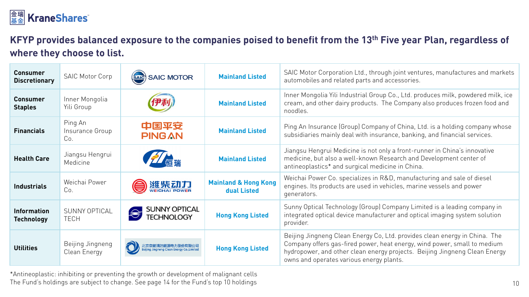# **金瑞 KraneShares**

### **KFYP provides balanced exposure to the companies poised to benefit from the 13th Five year Plan, regardless of where they choose to list.**

| <b>Consumer</b><br><b>Discretionary</b> | <b>SAIC Motor Corp</b>              | <b>SAIC MOTOR</b>                  | <b>Mainland Listed</b>                         | SAIC Motor Corporation Ltd., through joint ventures, manufactures and markets<br>automobiles and related parts and accessories.                                                                                                                                                  |
|-----------------------------------------|-------------------------------------|------------------------------------|------------------------------------------------|----------------------------------------------------------------------------------------------------------------------------------------------------------------------------------------------------------------------------------------------------------------------------------|
| <b>Consumer</b><br><b>Staples</b>       | Inner Mongolia<br>Yili Group        |                                    | <b>Mainland Listed</b>                         | Inner Mongolia Yili Industrial Group Co., Ltd. produces milk, powdered milk, ice<br>cream, and other dairy products. The Company also produces frozen food and<br>noodles.                                                                                                       |
| <b>Financials</b>                       | Ping An<br>Insurance Group<br>Co.   | 中国平安<br><b>PING AN</b>             | <b>Mainland Listed</b>                         | Ping An Insurance (Group) Company of China, Ltd. is a holding company whose<br>subsidiaries mainly deal with insurance, banking, and financial services.                                                                                                                         |
| <b>Health Care</b>                      | Jiangsu Hengrui<br>Medicine         | 信瑞                                 | <b>Mainland Listed</b>                         | Jiangsu Hengrui Medicine is not only a front-runner in China's innovative<br>medicine, but also a well-known Research and Development center of<br>antineoplastics* and surgical medicine in China.                                                                              |
| <b>Industrials</b>                      | Weichai Power<br>Co.                | 逛柴动力                               | <b>Mainland &amp; Hong Kong</b><br>dual Listed | Weichai Power Co. specializes in R&D, manufacturing and sale of diesel<br>engines. Its products are used in vehicles, marine vessels and power<br>generators.                                                                                                                    |
| <b>Information</b><br><b>Technology</b> | <b>SUNNY OPTICAL</b><br><b>TECH</b> | SUNNY OPTICAL<br><b>TECHNOLOGY</b> | <b>Hong Kong Listed</b>                        | Sunny Optical Technology (Group) Company Limited is a leading company in<br>integrated optical device manufacturer and optical imaging system solution<br>provider.                                                                                                              |
| <b>Utilities</b>                        | Beijing Jingneng<br>Clean Energy    |                                    | <b>Hong Kong Listed</b>                        | Beijing Jingneng Clean Energy Co, Ltd. provides clean energy in China. The<br>Company offers gas-fired power, heat energy, wind power, small to medium<br>hydropower, and other clean energy projects. Beijing Jingneng Clean Energy<br>owns and operates various energy plants. |

\*Antineoplastic: inhibiting or preventing the growth or development of malignant cells The Fund's holdings are subject to change. See page 14 for the Fund's top 10 holdings 10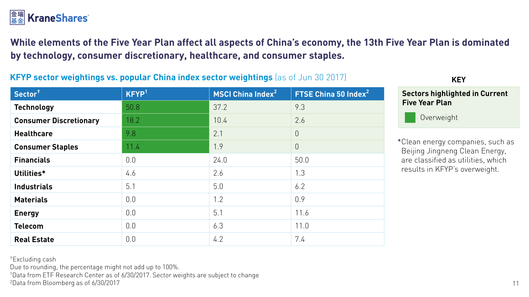

while elements of the Five Fight and affect all aspects of china's economy, the 13th Fight Plan is done as concluded. **by technology, consumer discretionary, healthcare, and consumer staples.**

#### **KFYP sector weightings vs. popular China index sector weightings** (as of Jun 30 2017)

| Sector <sup>+</sup>           | KFYP <sup>1</sup> | MSCI China Index <sup>2</sup> | FTSE China 50 Index <sup>2</sup> |
|-------------------------------|-------------------|-------------------------------|----------------------------------|
| <b>Technology</b>             | 50.8              | 37.2                          | 9.3                              |
| <b>Consumer Discretionary</b> | 18.2              | 10.4                          | 2.6                              |
| <b>Healthcare</b>             | 9.8               | 2.1                           | $\overline{0}$                   |
| <b>Consumer Staples</b>       | 11.4              | 1.9                           | $\overline{0}$                   |
| <b>Financials</b>             | 0.0               | 24.0                          | 50.0                             |
| Utilities*                    | 4.6               | 2.6                           | 1.3                              |
| <b>Industrials</b>            | 5.1               | 5.0                           | 6.2                              |
| <b>Materials</b>              | 0.0               | 1.2                           | 0.9                              |
| <b>Energy</b>                 | 0.0               | 5.1                           | 11.6                             |
| <b>Telecom</b>                | 0.0               | 6.3                           | 11.0                             |
| <b>Real Estate</b>            | 0.0               | 4.2                           | 7.4                              |

**KEY** 

**Five Year Plan Five Year Plan Sectors highlighted in Current** 



\*Clean energy companies, such as are classified as utilities, which results in KFYP's overweight. results in KFYP's overweight. In the second control of the second control of the second control of the second control of the second control of the second control of the second control of the second control of the second co

<sup>†</sup>Excluding cash<br>Due to rounding, the percentage might not add up to 100%.

Due to rounding, the percentage might not add up to 100%.<br>1 Data from FTF Research Center as of 6/30/2017 Sector we <sup>1</sup>Data from ETF Research Center as of 6/30/2017. Sector weights are subject to change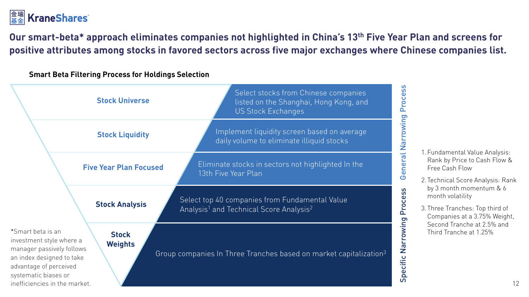# **金瑞 KraneShares**

**Our smart-beta\* approach eliminates companies not highlighted in China's 13th Five Year Plan and screens for positive attributes among stocks in favored sectors across five major exchanges where Chinese companies list.**

**Smart Beta Filtering Process for Holdings Selection**

|                                                                                                                                                                                            | <b>Stock Universe</b>          | Select stocks from Chinese companies<br>listed on the Shanghai, Hong Kong, and<br><b>US Stock Exchanges</b>       | Process               |
|--------------------------------------------------------------------------------------------------------------------------------------------------------------------------------------------|--------------------------------|-------------------------------------------------------------------------------------------------------------------|-----------------------|
|                                                                                                                                                                                            | <b>Stock Liquidity</b>         | Implement liquidity screen based on average<br>daily volume to eliminate illiquid stocks                          | Narrowing             |
|                                                                                                                                                                                            | <b>Five Year Plan Focused</b>  | Eliminate stocks in sectors not highlighted In the<br>13th Five Year Plan                                         | General               |
|                                                                                                                                                                                            | <b>Stock Analysis</b>          | Select top 40 companies from Fundamental Value<br>Analysis <sup>1</sup> and Technical Score Analysis <sup>2</sup> | Process               |
| *Smart beta is an<br>investment style where a<br>manager passively follows<br>an index designed to take<br>advantage of perceived<br>systematic biases or<br>inefficiencies in the market. | <b>Stock</b><br><b>Weights</b> | Group companies In Three Tranches based on market capitalization <sup>3</sup>                                     | Narrowing<br>Specific |

1.Fundamental Value Analysis: Free Cash Flow

2.Technical Score Analysis: Rank month volatility month volatility

3.Three Tranches: Top third of Second Tranche at 2.5% and Third Tranche at 1.25% Third Tranche at 1.25%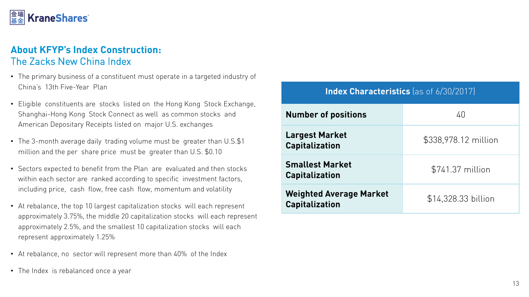#### |金瑞|<br>|其全| **KraneShares**

#### **About KFYP's Index Construction: The Zacks New China Index** The Zacks New China Index

- The primary business of a constituent must operate in a targeted industry of China's 13th Five-Year Plan
- Eligible constituents are stocks listed on the Hong Kong Stock Exchange, American Depositary Receipts listed on major U.S. exchanges American Depositary Receipts listed on major U.S. exchanges
- The 3-month average daily trading volume must be greater than U.S.\$1 million and the per share price must be greater than U.S. \$0.10 million and the per share price must be greater than U.S.  $\frac{1}{2}$ .
- Sectors expected to benefit from the Plan are evaluated and then stocks including price, cash flow, free cash flow, momentum and volatility including price, cash flow, free cash flow, momentum and volatility  $\mathbf{r}$
- At rebalance, the top 10 largest capitalization stocks will each represent approximately 2.5%, and the smallest 10 capitalization stocks will each represent approximately 1.25% represent approximately 1.25% in the set of the set of the set of the set of the set of the set of the set of the set of the set of the set of the set of the set of the set of the set of the set of the set of the set of th
- At rebalance, no sector will represent more than 40% of the Index
- The Index is rebalanced once a year

| <b>Number of positions</b>                       | 40                   |
|--------------------------------------------------|----------------------|
| <b>Largest Market</b><br><b>Capitalization</b>   | \$338,978.12 million |
| <b>Smallest Market</b><br><b>Capitalization</b>  | \$741.37 million     |
| <b>Weighted Average Market</b><br>Capitalization | \$14,328.33 billion  |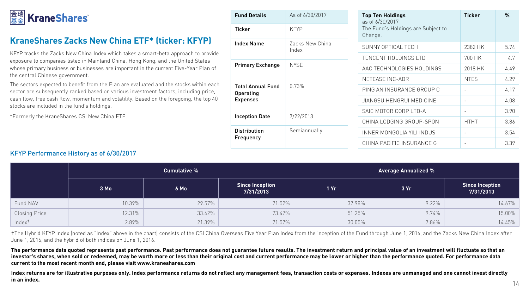# $\left|\frac{\hat{x}}{\hat{x}}\right|\frac{1}{\hat{x}}$  KraneShares

### KraneShares Zacks New China ETF\* (ticker: KFYP)

KFYP tracks the Zacks New China Index which takes a smart-beta approach to provide exposure to companies listed in Mainland China, Hong Kong, and the United States whose primary business or businesses are important in the current Five-Year Plan of the central Chinese government.

The sectors expected to benefit from the Plan are evaluated and the stocks within each sector are subsequently ranked based on various investment factors, including price, cash flow, free cash flow, momentum and volatility. Based on the foregoing, the top 40 cash flow, free cash flow, momentum and volume, cases in the top going, the top 40 stocks are included in the fund's holdings.

\*Formerly the KraneShares CSI New China ETF

| <b>Fund Details</b>                   | As of 6/30/2017          | <b>Top Ten Holdings</b><br>as of 6/30/2017    | <b>Ticker</b>            | $\frac{0}{n}$ |
|---------------------------------------|--------------------------|-----------------------------------------------|--------------------------|---------------|
| <b>Ticker</b>                         | <b>KFYP</b>              | The Fund's Holdings are Subject to<br>Change. |                          |               |
| <b>Index Name</b>                     | Zacks New China<br>Index | SUNNY OPTICAL TECH                            | 2382 HK                  | 5.74          |
|                                       |                          | TENCENT HOLDINGS LTD                          | 700 HK                   | 4.7           |
| <b>Primary Exchange</b>               | <b>NYSE</b>              | AAC TECHNOLOGIES HOLDINGS                     | 2018 HK                  | 4.49          |
|                                       |                          | NETEASE INC-ADR                               | <b>NTES</b>              | 4.29          |
| <b>Total Annual Fund</b><br>Operating | 0.73%                    | PING AN INSURANCE GROUP C                     |                          | 4.17          |
| <b>Expenses</b>                       |                          | JIANGSU HENGRUI MEDICINE                      | $\overline{\phantom{a}}$ | 4.08          |
|                                       |                          | SAIC MOTOR CORP LTD-A                         | $\overline{\phantom{a}}$ | 3.90          |
| <b>Inception Date</b>                 | 7/22/2013                | CHINA LODGING GROUP-SPON                      | <b>HTHT</b>              | 3.86          |
| <b>Distribution</b>                   | Semiannually             | INNER MONGOLIA YILI INDUS                     | $\overline{\phantom{a}}$ | 3.54          |
| Frequency                             |                          | CHINA PACIFIC INSURANCE G                     |                          | 3.39          |

#### KFYP Performance History as of 6/30/2017

|                      | <b>Cumulative %</b> |        |                                     | <b>Average Annualized %</b> |       |                                     |  |
|----------------------|---------------------|--------|-------------------------------------|-----------------------------|-------|-------------------------------------|--|
|                      | 3 Mo                | 6 Mo   | <b>Since Inception</b><br>7/31/2013 | 1Yr                         | 3Yr   | <b>Since Inception</b><br>7/31/2013 |  |
| Fund NAV             | 10.39%              | 29.57% | 71.52%                              | 37.98%                      | 9.22% | 14.67%                              |  |
| <b>Closing Price</b> | 12.31%              | 33.42% | 73.47%                              | 51.25%                      | 9.74% | 15.00%                              |  |
| Index <sup>+</sup>   | 2.89%               | 21.39% | 71.57%                              | 30.05%                      | 7.86% | 14.45%                              |  |

†The Hybrid KFYP Index (noted as "Index" above in the chart) consists of the CSI China Overseas Five Year Plan Index from the inception of the Fund through June 1, 2016, and the Zacks New China Index after<br>June 1, 2016, an June 1, 2016, and the hybrid of both indices on June 1, 2016.

investor's shares, when sold or redeemed, may be worth more or less than their original cost and current performance may be lower or higher than the performance quoted. For performance data<br>current to the most recent month **current to the most recent month end, please visit www.kraneshares.com**

**Index returns are for illustrative purposes only. Index performance returns do not reflect any management fees, transaction costs or expenses. Indexes are unmanaged and one cannot invest directly** 

5.74  $4.7$ 

3.86 3.54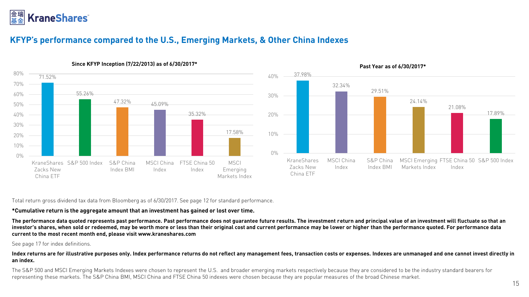

# **KFYP's performance compared to the U.S., Emerging Markets, & Other China Indexes**





#### Past Year as of 6/30/2017\*

 $T$ oss dividend tax data from Bloomberg as of 6/30/2017. See page 12 for standard performance.

**\*Cumulative return is the aggregate amount that an investment has gained or lost over time.**  investor's shares, when sold or redeemed, may be worth more or less than their original cost and current performance may be lower or higher than the performance quoted. For performance data<br>current to the most recent month **current to the most recent month end, please visit www.kraneshares.com**

#### See page 17 for index definitions.

**Index returns are for illustrative purposes only. Index performance returns do not reflect any management fees, transaction costs or expenses. Indexes are unmanaged and one cannot invest directly in** 

The S&P 500 and MSCI Emerging Markets Indexes were chosen to represent the U.S. and broader emerging markets respectively because they are considered to be the industry standard bearers for representing these markets. The S&P China BMI, MSCI China and FTSE China 50 indexes were chosen because they are popular measures of the broad Chinese market. representing these markets. The S&P China BMI, MSCI China and FTSE China 50 indexes were chosen because they are popular measures of the broad Chinese market.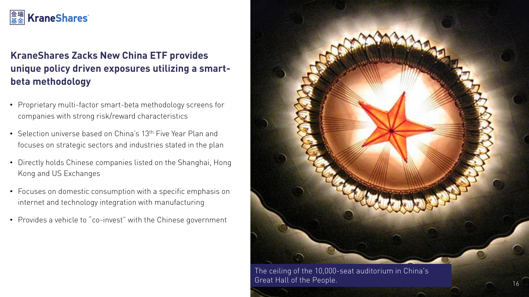# **KraneShares**

# **KraneShares Zacks New China ETF provides unique policy driven exposures utilizing a smartbeta methodology**

- Proprietary multi-factor smart-beta methodology screens for companies with strong risk/reward characteristics
- Selection universe based on China's 13<sup>th</sup> Five Year Plan and focuses on strategic sectors and industries stated in the plan
- Directly holds Chinese companies listed on the Shanghai, Hong Kong and US Exchanges
- Focuses on domestic consumption with a specific emphasis on internet and technology integration with manufacturing
- Provides a vehicle to "co-invest" with the Chinese government



The ceiling of the 10,000-seat auditorium in China's great Hall of the People . 16 and 2016 the People and 2016 the People and 2016 the People and 2016 the People and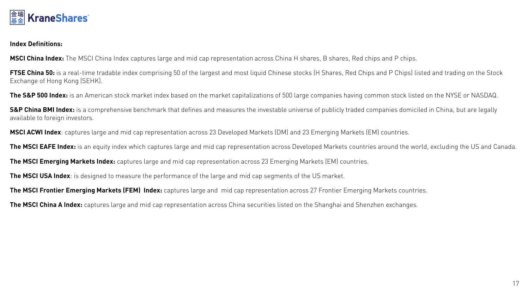

**Index Definitions:** 

**MSCI China Index:** The MSCI China Index captures large and mid cap representation across China H shares, B shares, Red chips and P chips.

**FTSE China 50:** is a real-time tradable index comprising 50 of the largest and most liquid Chinese stocks (H Shares, Red Chips and P Chips) listed and trading on the Stock<br>Exchange of Hong Kong (SEHK).  $\overline{S}$   $\overline{S}$ .

**The S&P 500 Index:** is an American stock market index based on the market capitalizations of 500 large companies having common stock listed on the NYSE or NASDAQ.

sa communication benchmark that defines a comprehensive benchmark that defines and measures the publicly traded companies and companies the investory of the legally  $\overline{y}$ 

**MSCI ACWI Index**: captures large and mid cap representation across 23 Developed Markets (DM) and 23 Emerging Markets (EM) countries.

**The MSCI EAFE Index:** is an equity index which captures large and mid cap representation across Developed Markets countries around the world, excluding the US and Canada.

**The MSCI Emerging Markets Index:** captures large and mid cap representation across 23 Emerging Markets (EM) countries.

**The MSCI USA Index**: is designed to measure the performance of the large and mid cap segments of the US market.

**The MSCI Frontier Emerging Markets (FEM) Index:** captures large and mid cap representation across 27 Frontier Emerging Markets countries.

**The MSCI China A Index:** captures large and mid cap representation across China securities listed on the Shanghai and Shenzhen exchanges.